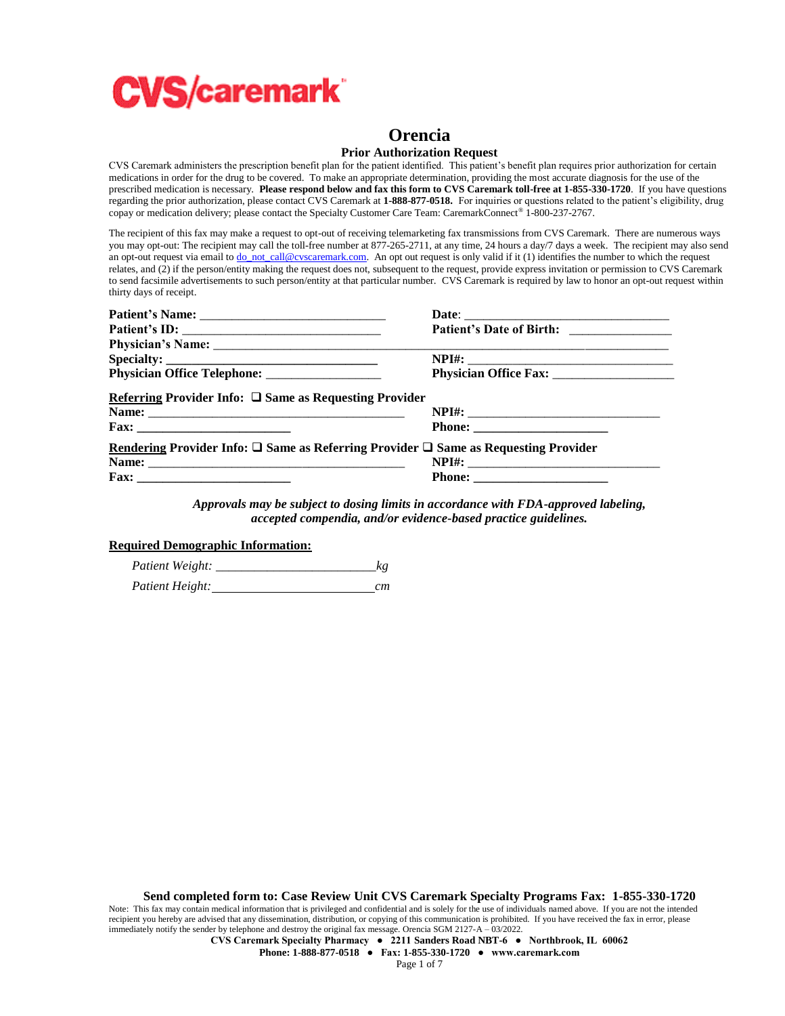

# **Orencia**

#### **Prior Authorization Request**

CVS Caremark administers the prescription benefit plan for the patient identified. This patient's benefit plan requires prior authorization for certain medications in order for the drug to be covered. To make an appropriate determination, providing the most accurate diagnosis for the use of the prescribed medication is necessary. **Please respond below and fax this form to CVS Caremark toll-free at 1-855-330-1720**. If you have questions regarding the prior authorization, please contact CVS Caremark at **1-888-877-0518.** For inquiries or questions related to the patient's eligibility, drug copay or medication delivery; please contact the Specialty Customer Care Team: CaremarkConnect® 1-800-237-2767.

The recipient of this fax may make a request to opt-out of receiving telemarketing fax transmissions from CVS Caremark. There are numerous ways you may opt-out: The recipient may call the toll-free number at 877-265-2711, at any time, 24 hours a day/7 days a week. The recipient may also send an opt-out request via email t[o do\\_not\\_call@cvscaremark.com.](mailto:do_not_call@cvscaremark.com) An opt out request is only valid if it (1) identifies the number to which the request relates, and (2) if the person/entity making the request does not, subsequent to the request, provide express invitation or permission to CVS Caremark to send facsimile advertisements to such person/entity at that particular number. CVS Caremark is required by law to honor an opt-out request within thirty days of receipt.

| Referring Provider Info: $\square$ Same as Requesting Provider                                      |  |
|-----------------------------------------------------------------------------------------------------|--|
|                                                                                                     |  |
|                                                                                                     |  |
| Rendering Provider Info: $\square$ Same as Referring Provider $\square$ Same as Requesting Provider |  |
|                                                                                                     |  |
|                                                                                                     |  |

*Approvals may be subject to dosing limits in accordance with FDA-approved labeling, accepted compendia, and/or evidence-based practice guidelines.*

#### **Required Demographic Information:**

| Patient Weight: | kg |
|-----------------|----|
| Patient Height: | cm |

**CVS Caremark Specialty Pharmacy ● 2211 Sanders Road NBT-6 ● Northbrook, IL 60062**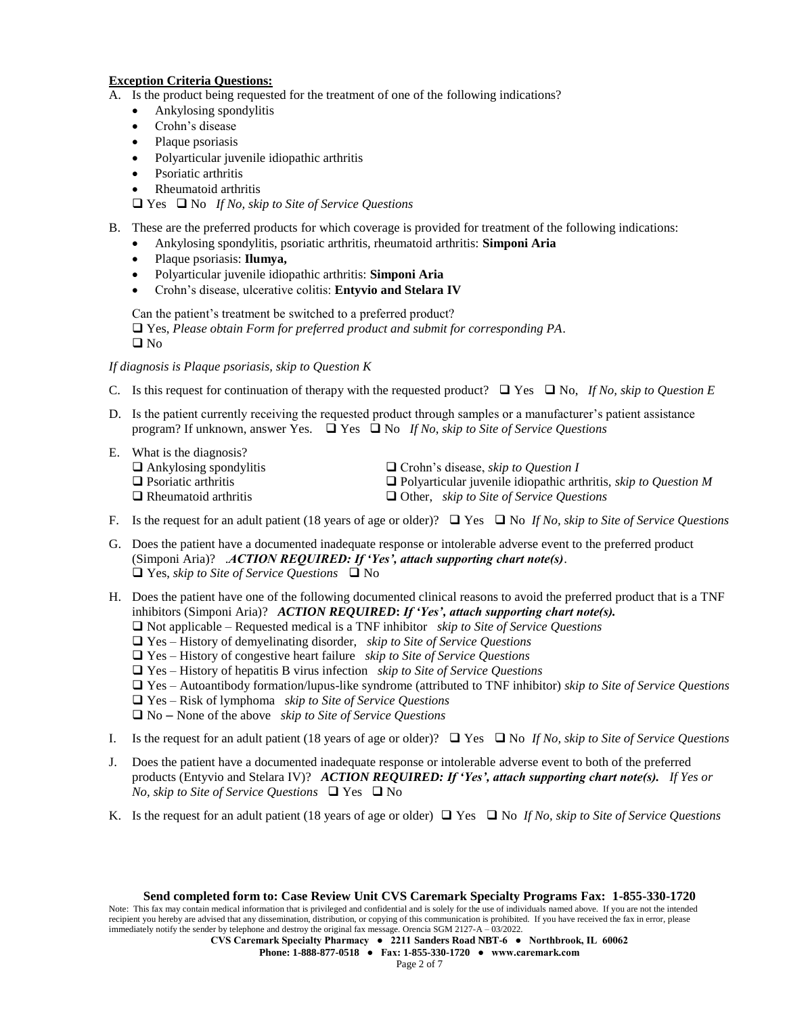## **Exception Criteria Questions:**

- A. Is the product being requested for the treatment of one of the following indications?
	- Ankylosing spondylitis
	- Crohn's disease
	- Plaque psoriasis
	- Polyarticular juvenile idiopathic arthritis
	- Psoriatic arthritis
	- Rheumatoid arthritis

Yes No *If No, skip to Site of Service Questions*

- B. These are the preferred products for which coverage is provided for treatment of the following indications:
	- Ankylosing spondylitis, psoriatic arthritis, rheumatoid arthritis: **Simponi Aria**
	- Plaque psoriasis: **Ilumya,**
	- Polyarticular juvenile idiopathic arthritis: **Simponi Aria**
	- Crohn's disease, ulcerative colitis: **Entyvio and Stelara IV**

Can the patient's treatment be switched to a preferred product?

 Yes, *Please obtain Form for preferred product and submit for corresponding PA*.  $\square$  No

*If diagnosis is Plaque psoriasis, skip to Question K*

- C. Is this request for continuation of therapy with the requested product?  $\Box$  Yes  $\Box$  No, *If No, skip to Question E*
- D. Is the patient currently receiving the requested product through samples or a manufacturer's patient assistance program? If unknown, answer Yes.  $\Box$  Yes  $\Box$  No *If No, skip to Site of Service Questions*
- E. What is the diagnosis?
	- Ankylosing spondylitis Crohn's disease, *skip to Question I*
	- Psoriatic arthritis Polyarticular juvenile idiopathic arthritis, *skip to Question M*
- - Rheumatoid arthritis Other, *skip to Site of Service Questions*
- F. Is the request for an adult patient (18 years of age or older)?  $\Box$  Yes  $\Box$  No If No, skip to Site of Service Questions
- G. Does the patient have a documented inadequate response or intolerable adverse event to the preferred product (Simponi Aria)? .*ACTION REQUIRED: If 'Yes', attach supporting chart note(s)*. Yes, *skip to Site of Service Questions* No
- H. Does the patient have one of the following documented clinical reasons to avoid the preferred product that is a TNF inhibitors (Simponi Aria)? *ACTION REQUIRED***:** *If 'Yes', attach supporting chart note(s).*
	- Not applicable Requested medical is a TNF inhibitor *skip to Site of Service Questions*
	- Yes History of demyelinating disorder, *skip to Site of Service Questions*
	- Yes History of congestive heart failure *skip to Site of Service Questions*
	- Yes History of hepatitis B virus infection *skip to Site of Service Questions*
	- Yes Autoantibody formation/lupus-like syndrome (attributed to TNF inhibitor) *skip to Site of Service Questions*
	- Yes Risk of lymphoma *skip to Site of Service Questions*
	- No None of the above *skip to Site of Service Questions*
- I. Is the request for an adult patient (18 years of age or older)?  $\Box$  Yes  $\Box$  No If No, skip to Site of Service Questions
- J. Does the patient have a documented inadequate response or intolerable adverse event to both of the preferred products (Entyvio and Stelara IV)? *ACTION REQUIRED: If 'Yes', attach supporting chart note(s). If Yes or No, skip to Site of Service Questions*  $\Box$  Yes  $\Box$  No
- K. Is the request for an adult patient (18 years of age or older)  $\Box$  Yes  $\Box$  No *If No, skip to Site of Service Questions*

Note: This fax may contain medical information that is privileged and confidential and is solely for the use of individuals named above. If you are not the intended recipient you hereby are advised that any dissemination, distribution, or copying of this communication is prohibited. If you have received the fax in error, please immediately notify the sender by telephone and destroy the original fax message. Orencia SGM 2127-A – 03/2022.

**CVS Caremark Specialty Pharmacy ● 2211 Sanders Road NBT-6 ● Northbrook, IL 60062**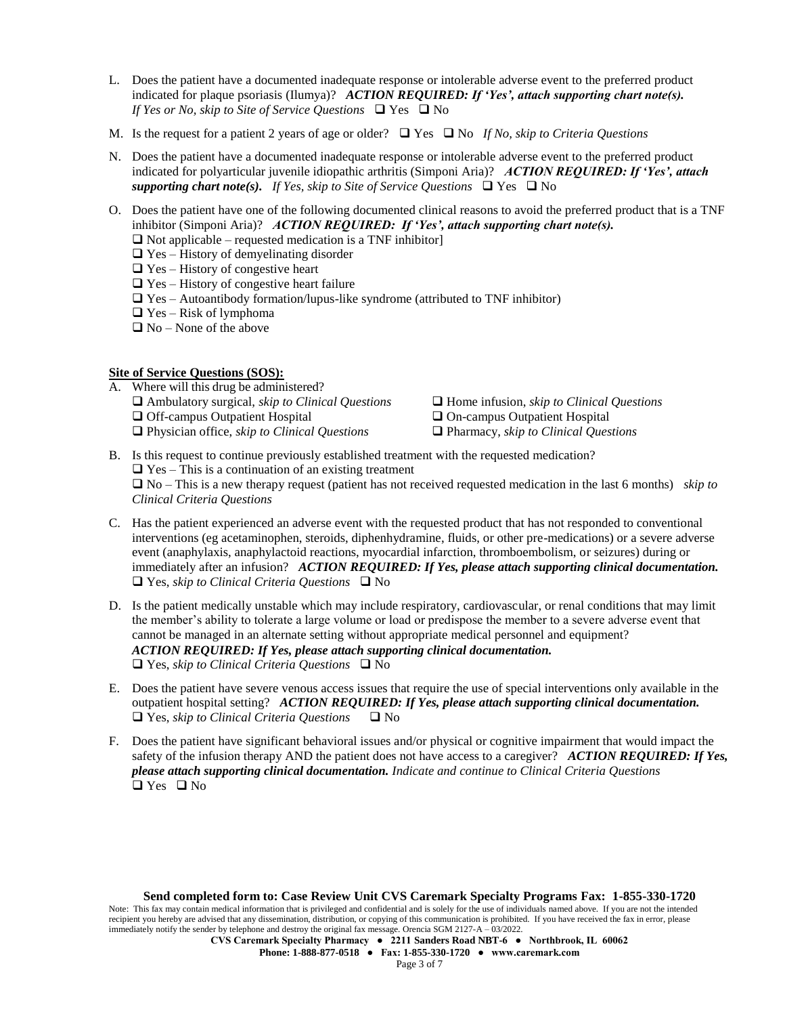- L. Does the patient have a documented inadequate response or intolerable adverse event to the preferred product indicated for plaque psoriasis (Ilumya)? *ACTION REQUIRED: If 'Yes', attach supporting chart note(s). If Yes or No, skip to Site of Service Questions*  $\Box$  Yes  $\Box$  No
- M. Is the request for a patient 2 years of age or older?  $\Box$  Yes  $\Box$  No *If No, skip to Criteria Questions*
- N. Does the patient have a documented inadequate response or intolerable adverse event to the preferred product indicated for polyarticular juvenile idiopathic arthritis (Simponi Aria)? *ACTION REQUIRED: If 'Yes', attach supporting chart note(s). If Yes, skip to Site of Service Questions*  $\Box$  Yes  $\Box$  No
- O. Does the patient have one of the following documented clinical reasons to avoid the preferred product that is a TNF inhibitor (Simponi Aria)? *ACTION REQUIRED: If 'Yes', attach supporting chart note(s).*
	- $\Box$  Not applicable requested medication is a TNF inhibitor
	- $\Box$  Yes History of demyelinating disorder
	- $\Box$  Yes History of congestive heart
	- $\Box$  Yes History of congestive heart failure
	- $\Box$  Yes Autoantibody formation/lupus-like syndrome (attributed to TNF inhibitor)
	- $\Box$  Yes Risk of lymphoma
	- $\Box$  No None of the above

## **Site of Service Questions (SOS):**

- A. Where will this drug be administered?
	- Ambulatory surgical, *skip to Clinical Questions* Home infusion, *skip to Clinical Questions*
	- Off-campus Outpatient Hospital On-campus Outpatient Hospital
	- Physician office, *skip to Clinical Questions* Pharmacy, *skip to Clinical Questions*

B. Is this request to continue previously established treatment with the requested medication?

 $\Box$  Yes – This is a continuation of an existing treatment

 No – This is a new therapy request (patient has not received requested medication in the last 6 months) *skip to Clinical Criteria Questions*

- C. Has the patient experienced an adverse event with the requested product that has not responded to conventional interventions (eg acetaminophen, steroids, diphenhydramine, fluids, or other pre-medications) or a severe adverse event (anaphylaxis, anaphylactoid reactions, myocardial infarction, thromboembolism, or seizures) during or immediately after an infusion? *ACTION REQUIRED: If Yes, please attach supporting clinical documentation.*  $\Box$  Yes, *skip to Clinical Criteria Questions*  $\Box$  No
- D. Is the patient medically unstable which may include respiratory, cardiovascular, or renal conditions that may limit the member's ability to tolerate a large volume or load or predispose the member to a severe adverse event that cannot be managed in an alternate setting without appropriate medical personnel and equipment? *ACTION REQUIRED: If Yes, please attach supporting clinical documentation.*  $\Box$  Yes, *skip to Clinical Criteria Questions*  $\Box$  No
- E. Does the patient have severe venous access issues that require the use of special interventions only available in the outpatient hospital setting? *ACTION REQUIRED: If Yes, please attach supporting clinical documentation.*   $\Box$  Yes, *skip to Clinical Criteria Questions*  $\Box$  No
- F. Does the patient have significant behavioral issues and/or physical or cognitive impairment that would impact the safety of the infusion therapy AND the patient does not have access to a caregiver? *ACTION REQUIRED: If Yes, please attach supporting clinical documentation. Indicate and continue to Clinical Criteria Questions*  $\Box$  Yes  $\Box$  No

**Send completed form to: Case Review Unit CVS Caremark Specialty Programs Fax: 1-855-330-1720** Note: This fax may contain medical information that is privileged and confidential and is solely for the use of individuals named above. If you are not the intended recipient you hereby are advised that any dissemination, distribution, or copying of this communication is prohibited. If you have received the fax in error, please immediately notify the sender by telephone and destroy the original fax message. Orencia SGM 2127-A – 03/2022.

**CVS Caremark Specialty Pharmacy ● 2211 Sanders Road NBT-6 ● Northbrook, IL 60062**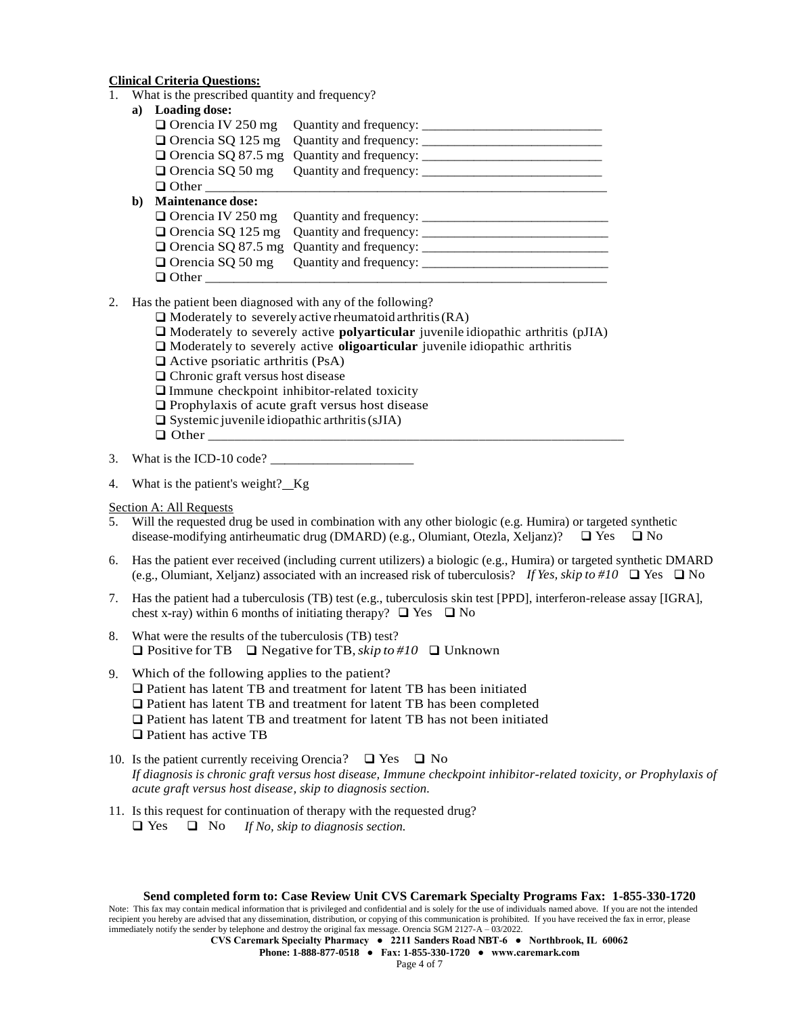### **Clinical Criteria Questions:**

1. What is the prescribed quantity and frequency?

| <b>Loading dose:</b>     |  |
|--------------------------|--|
|                          |  |
|                          |  |
|                          |  |
|                          |  |
| $\Box$ Other             |  |
| <b>Maintenance dose:</b> |  |
|                          |  |
|                          |  |
|                          |  |
|                          |  |
| Other                    |  |
|                          |  |

#### 2. Has the patient been diagnosed with any of the following?

- $\Box$  Moderately to severely active rheumatoid arthritis (RA)
	- Moderately to severely active **polyarticular** juvenile idiopathic arthritis (pJIA)
	- Moderately to severely active **oligoarticular** juvenile idiopathic arthritis
	- $\Box$  Active psoriatic arthritis (PsA)
- $\Box$  Chronic graft versus host disease
- $\Box$  Immune checkpoint inhibitor-related toxicity
- $\Box$  Prophylaxis of acute graft versus host disease
- $\square$  Systemic juvenile idiopathic arthritis (sJIA)
- $\Box$  Other  $\Box$
- 3. What is the ICD-10 code?
- 4. What is the patient's weight? Kg
- Section A: All Requests
- 5. Will the requested drug be used in combination with any other biologic (e.g. Humira) or targeted synthetic disease-modifying antirheumatic drug (DMARD) (e.g., Olumiant, Otezla, Xeljanz)?  $\Box$  Yes  $\Box$  No
- 6. Has the patient ever received (including current utilizers) a biologic (e.g., Humira) or targeted synthetic DMARD (e.g., Olumiant, Xeljanz) associated with an increased risk of tuberculosis? *If Yes, skip to* #10  $\Box$  Yes  $\Box$  No
- 7. Has the patient had a tuberculosis (TB) test (e.g., tuberculosis skin test [PPD], interferon-release assay [IGRA], chest x-ray) within 6 months of initiating therapy?  $\Box$  Yes  $\Box$  No
- 8. What were the results of the tuberculosis (TB) test? Positive for TB Negative for TB,*skip to #10*  Unknown
- 9. Which of the following applies to the patient?
	- Patient has latent TB and treatment for latent TB has been initiated
	- Patient has latent TB and treatment for latent TB has been completed
	- Patient has latent TB and treatment for latent TB has not been initiated
	- □ Patient has active TB
- 10. Is the patient currently receiving Orencia?  $\Box$  Yes  $\Box$  No *If diagnosis is chronic graft versus host disease, Immune checkpoint inhibitor-related toxicity, or Prophylaxis of acute graft versus host disease, skip to diagnosis section.*
- 11. Is this request for continuation of therapy with the requested drug?
	- Yes No *If No, skip to diagnosis section.*

Note: This fax may contain medical information that is privileged and confidential and is solely for the use of individuals named above. If you are not the intended recipient you hereby are advised that any dissemination, distribution, or copying of this communication is prohibited. If you have received the fax in error, please immediately notify the sender by telephone and destroy the original fax message. Orencia SGM 2127-A – 03/2022.

**CVS Caremark Specialty Pharmacy ● 2211 Sanders Road NBT-6 ● Northbrook, IL 60062**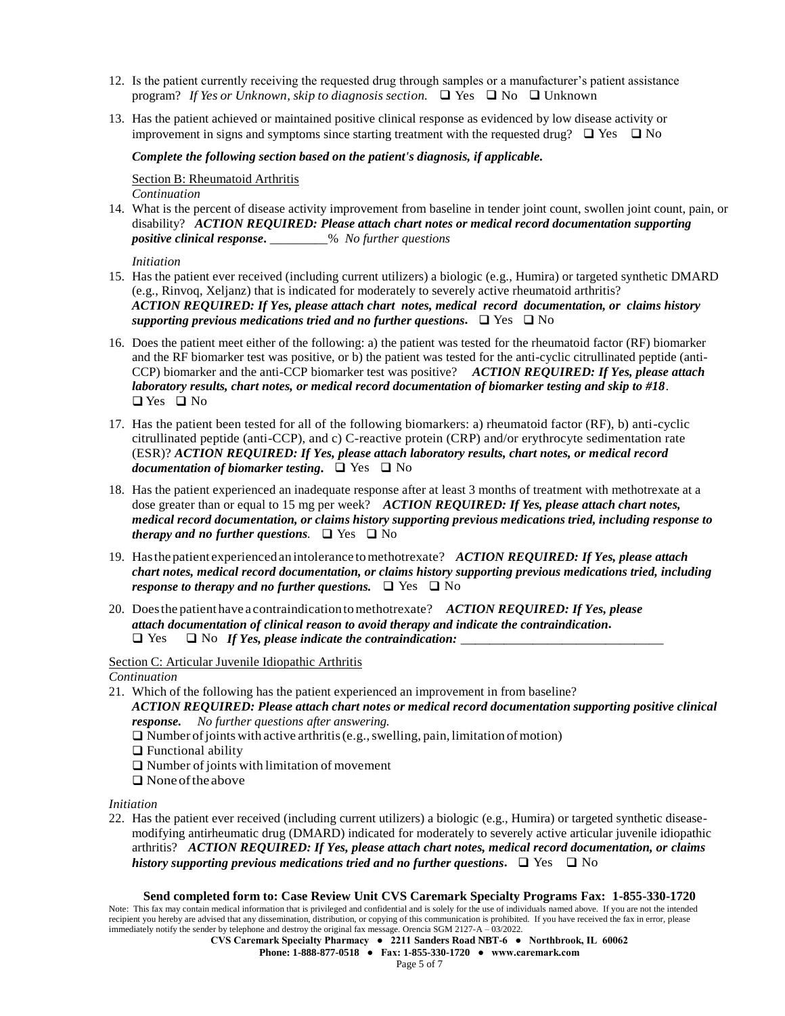- 12. Is the patient currently receiving the requested drug through samples or a manufacturer's patient assistance program? *If Yes or Unknown, skip to diagnosis section.*  $\Box$  Yes  $\Box$  No  $\Box$  Unknown
- 13. Has the patient achieved or maintained positive clinical response as evidenced by low disease activity or improvement in signs and symptoms since starting treatment with the requested drug?  $\Box$  Yes  $\Box$  No

### *Complete the following section based on the patient's diagnosis, if applicable.*

Section B: Rheumatoid Arthritis *Continuation*

14. What is the percent of disease activity improvement from baseline in tender joint count, swollen joint count, pain, or disability? *ACTION REQUIRED: Please attach chart notes or medical record documentation supporting positive clinical response***.** \_\_\_\_\_\_\_\_\_% *No further questions*

*Initiation*

- 15. Has the patient ever received (including current utilizers) a biologic (e.g., Humira) or targeted synthetic DMARD (e.g., Rinvoq, Xeljanz) that is indicated for moderately to severely active rheumatoid arthritis? *ACTION REQUIRED: If Yes, please attach chart notes, medical record documentation, or claims history supporting previous medications tried and no further questions.*  $\Box$  Yes  $\Box$  No
- 16. Does the patient meet either of the following: a) the patient was tested for the rheumatoid factor (RF) biomarker and the RF biomarker test was positive, or b) the patient was tested for the anti-cyclic citrullinated peptide (anti-CCP) biomarker and the anti-CCP biomarker test was positive? *ACTION REQUIRED: If Yes, please attach laboratory results, chart notes, or medical record documentation of biomarker testing and skip to #18*.  $\Box$  Yes  $\Box$  No
- 17. Has the patient been tested for all of the following biomarkers: a) rheumatoid factor (RF), b) anti-cyclic citrullinated peptide (anti-CCP), and c) C-reactive protein (CRP) and/or erythrocyte sedimentation rate (ESR)? *ACTION REQUIRED: If Yes, please attach laboratory results, chart notes, or medical record documentation of biomarker testing.* □ Yes □ No
- 18. Has the patient experienced an inadequate response after at least 3 months of treatment with methotrexate at a dose greater than or equal to 15 mg per week? *ACTION REQUIRED: If Yes, please attach chart notes, medical record documentation, or claims history supporting previous medications tried, including response to therapy and no further questions*.  $\Box$  Yes  $\Box$  No
- 19. Hasthe patient experiencedanintolerance tomethotrexate? *ACTION REQUIRED: If Yes, please attach chart notes, medical record documentation, or claims history supporting previous medications tried, including response to therapy and no further questions.*  $\Box$  Yes  $\Box$  No
- 20. Doesthe patient have a contraindicationtomethotrexate? *ACTION REQUIRED: If Yes, please attach documentation of clinical reason to avoid therapy and indicate the contraindication.* Yes No *If Yes, please indicate the contraindication:* \_\_\_\_\_\_\_\_\_\_\_\_\_\_

Section C: Articular Juvenile Idiopathic Arthritis

*Continuation*

- 21. Which of the following has the patient experienced an improvement in from baseline? *ACTION REQUIRED: Please attach chart notes or medical record documentation supporting positive clinical response. No further questions after answering.*
	- $\Box$  Number of joints with active arthritis (e.g., swelling, pain, limitation of motion)
	- $\Box$  Functional ability
	- $\Box$  Number of joints with limitation of movement
	- $\Box$  None of the above

*Initiation*

22. Has the patient ever received (including current utilizers) a biologic (e.g., Humira) or targeted synthetic diseasemodifying antirheumatic drug (DMARD) indicated for moderately to severely active articular juvenile idiopathic arthritis? *ACTION REQUIRED: If Yes, please attach chart notes, medical record documentation, or claims history supporting previous medications tried and no further questions.*  $\Box$  Yes  $\Box$  No

### **Send completed form to: Case Review Unit CVS Caremark Specialty Programs Fax: 1-855-330-1720**

Note: This fax may contain medical information that is privileged and confidential and is solely for the use of individuals named above. If you are not the intended recipient you hereby are advised that any dissemination, distribution, or copying of this communication is prohibited. If you have received the fax in error, please immediately notify the sender by telephone and destroy the original fax message. Orencia SGM 2127-A – 03/2022.

**CVS Caremark Specialty Pharmacy ● 2211 Sanders Road NBT-6 ● Northbrook, IL 60062**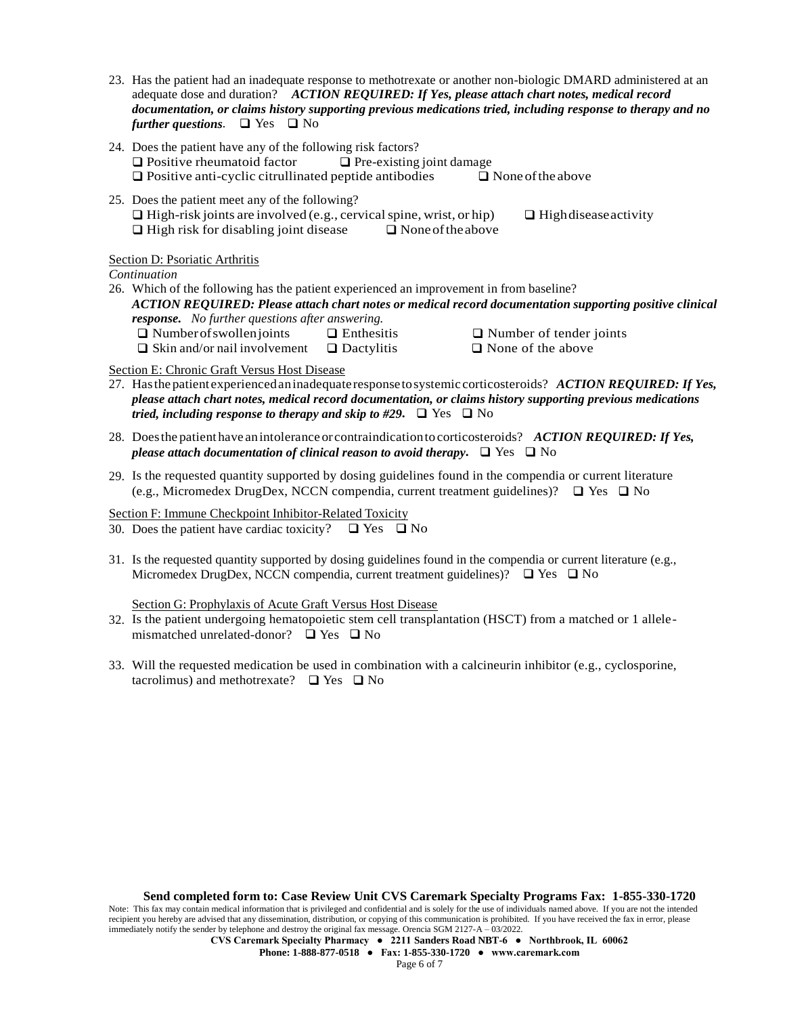- 23. Has the patient had an inadequate response to methotrexate or another non-biologic DMARD administered at an adequate dose and duration? *ACTION REQUIRED: If Yes, please attach chart notes, medical record documentation, or claims history supporting previous medications tried, including response to therapy and no further questions.*  $\Box$  Yes  $\Box$  No
- 24. Does the patient have any of the following risk factors?  $\Box$  Positive rheumatoid factor  $\Box$  Pre-existing joint damage  $\Box$  Positive anti-cyclic citrullinated peptide antibodies  $\Box$  None of the above
- 25. Does the patient meet any of the following?  $\Box$  High-risk joints are involved (e.g., cervical spine, wrist, or hip)  $\Box$  High disease activity  $\Box$  High risk for disabling joint disease  $\Box$  None of the above

## Section D: Psoriatic Arthritis

*Continuation*

26. Which of the following has the patient experienced an improvement in from baseline? *ACTION REQUIRED: Please attach chart notes or medical record documentation supporting positive clinical response. No further questions after answering.*  $\Box$  Number of swollen joints  $\Box$  Enthesitis  $\Box$  Number of tender joints  $\Box$  Skin and/or nail involvement  $\Box$  Dactylitis  $\Box$  None of the above

Section E: Chronic Graft Versus Host Disease

- 27. Hasthe patient experiencedaninadequate responsetosystemic corticosteroids? *ACTION REQUIRED: If Yes, please attach chart notes, medical record documentation, or claims history supporting previous medications tried, including response to therapy and skip to #29.*  $\Box$  Yes  $\Box$  No
- 28. Doesthe patient have anintolerance or contraindicationto corticosteroids? *ACTION REQUIRED: If Yes, please attach documentation of clinical reason to avoid therapy.*  $\Box$  Yes  $\Box$  No
- 29. Is the requested quantity supported by dosing guidelines found in the compendia or current literature (e.g., Micromedex DrugDex, NCCN compendia, current treatment guidelines)?  $\Box$  Yes  $\Box$  No

Section F: Immune Checkpoint Inhibitor-Related Toxicity

- 30. Does the patient have cardiac toxicity?  $\Box$  Yes  $\Box$  No
- 31. Is the requested quantity supported by dosing guidelines found in the compendia or current literature (e.g., Micromedex DrugDex, NCCN compendia, current treatment guidelines)?  $\Box$  Yes  $\Box$  No

Section G: Prophylaxis of Acute Graft Versus Host Disease

- 32. Is the patient undergoing hematopoietic stem cell transplantation (HSCT) from a matched or 1 allelemismatched unrelated-donor?  $\Box$  Yes  $\Box$  No
- 33. Will the requested medication be used in combination with a calcineurin inhibitor (e.g., cyclosporine, tacrolimus) and methotrexate?  $\Box$  Yes  $\Box$  No

Note: This fax may contain medical information that is privileged and confidential and is solely for the use of individuals named above. If you are not the intended recipient you hereby are advised that any dissemination, distribution, or copying of this communication is prohibited. If you have received the fax in error, please immediately notify the sender by telephone and destroy the original fax message. Orencia SGM 2127-A – 03/2022.

**CVS Caremark Specialty Pharmacy ● 2211 Sanders Road NBT-6 ● Northbrook, IL 60062**